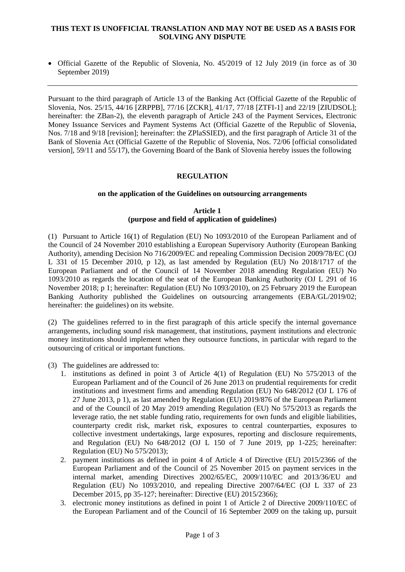# **THIS TEXT IS UNOFFICIAL TRANSLATION AND MAY NOT BE USED AS A BASIS FOR SOLVING ANY DISPUTE**

 Official Gazette of the Republic of Slovenia, No. 45/2019 of 12 July 2019 (in force as of 30 September 2019)

Pursuant to the third paragraph of Article 13 of the Banking Act (Official Gazette of the Republic of Slovenia, Nos. 25/15, 44/16 [ZRPPB], 77/16 [ZCKR], 41/17, 77/18 [ZTFI-1] and 22/19 [ZIUDSOL]; hereinafter: the ZBan-2), the eleventh paragraph of Article 243 of the Payment Services, Electronic Money Issuance Services and Payment Systems Act (Official Gazette of the Republic of Slovenia, Nos. [7/18](http://www.uradni-list.si/1/objava.jsp?sop=2018-01-0274) and 9/18 [revision]; hereinafter: the ZPlaSSIED), and the first paragraph of Article 31 of the Bank of Slovenia Act (Official Gazette of the Republic of Slovenia, Nos. 72/06 [official consolidated version], 59/11 and 55/17), the Governing Board of the Bank of Slovenia hereby issues the following

# **REGULATION**

# **on the application of the Guidelines on outsourcing arrangements**

# **Article 1 (purpose and field of application of guidelines)**

(1) Pursuant to Article 16(1) of Regulation (EU) No 1093/2010 of the European Parliament and of the Council of 24 November 2010 establishing a European Supervisory Authority (European Banking Authority), amending Decision No 716/2009/EC and repealing Commission Decision 2009/78/EC (OJ L 331 of 15 December 2010, p 12), as last amended by Regulation (EU) No 2018/1717 of the European Parliament and of the Council of 14 November 2018 amending Regulation (EU) No 1093/2010 as regards the location of the seat of the European Banking Authority (OJ L 291 of 16 November 2018; p 1; hereinafter: Regulation (EU) No 1093/2010), on 25 February 2019 the European Banking Authority published the Guidelines on outsourcing arrangements (EBA/GL/2019/02; hereinafter: the guidelines) on its website.

(2) The guidelines referred to in the first paragraph of this article specify the internal governance arrangements, including sound risk management, that institutions, payment institutions and electronic money institutions should implement when they outsource functions, in particular with regard to the outsourcing of critical or important functions.

(3) The guidelines are addressed to:

- 1. institutions as defined in point 3 of Article 4(1) of Regulation (EU) No 575/2013 of the European Parliament and of the Council of 26 June 2013 on prudential requirements for credit institutions and investment firms and amending Regulation (EU) No 648/2012 (OJ L 176 of 27 June 2013, p 1), as last amended by Regulation (EU) 2019/876 of the European Parliament and of the Council of 20 May 2019 amending Regulation (EU) No 575/2013 as regards the leverage ratio, the net stable funding ratio, requirements for own funds and eligible liabilities, counterparty credit risk, market risk, exposures to central counterparties, exposures to collective investment undertakings, large exposures, reporting and disclosure requirements, and Regulation (EU) No  $648/2012$  (OJ L 150 of 7 June 2019, pp 1-225; hereinafter: Regulation (EU) No 575/2013);
- 2. payment institutions as defined in point 4 of Article 4 of Directive (EU) 2015/2366 of the European Parliament and of the Council of 25 November 2015 on payment services in the internal market, amending Directives 2002/65/EC, 2009/110/EC and 2013/36/EU and Regulation (EU) No 1093/2010, and repealing Directive 2007/64/EC (OJ L 337 of 23 December 2015, pp 35-127; hereinafter: Directive (EU) 2015/2366);
- 3. electronic money institutions as defined in point 1 of Article 2 of Directive 2009/110/EC of the European Parliament and of the Council of 16 September 2009 on the taking up, pursuit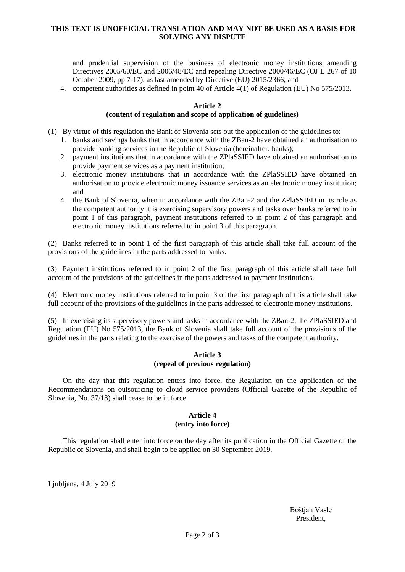# **THIS TEXT IS UNOFFICIAL TRANSLATION AND MAY NOT BE USED AS A BASIS FOR SOLVING ANY DISPUTE**

and prudential supervision of the business of electronic money institutions amending Directives 2005/60/EC and 2006/48/EC and repealing Directive 2000/46/EC (OJ L 267 of 10 October 2009, pp 7-17), as last amended by Directive (EU) 2015/2366; and

4. competent authorities as defined in point 40 of Article 4(1) of Regulation (EU) No 575/2013.

## **Article 2**

### **(content of regulation and scope of application of guidelines)**

- (1) By virtue of this regulation the Bank of Slovenia sets out the application of the guidelines to:
	- 1. banks and savings banks that in accordance with the ZBan-2 have obtained an authorisation to provide banking services in the Republic of Slovenia (hereinafter: banks);
	- 2. payment institutions that in accordance with the ZPlaSSIED have obtained an authorisation to provide payment services as a payment institution;
	- 3. electronic money institutions that in accordance with the ZPlaSSIED have obtained an authorisation to provide electronic money issuance services as an electronic money institution; and
	- 4. the Bank of Slovenia, when in accordance with the ZBan-2 and the ZPlaSSIED in its role as the competent authority it is exercising supervisory powers and tasks over banks referred to in point 1 of this paragraph, payment institutions referred to in point 2 of this paragraph and electronic money institutions referred to in point 3 of this paragraph.

(2) Banks referred to in point 1 of the first paragraph of this article shall take full account of the provisions of the guidelines in the parts addressed to banks.

(3) Payment institutions referred to in point 2 of the first paragraph of this article shall take full account of the provisions of the guidelines in the parts addressed to payment institutions.

(4) Electronic money institutions referred to in point 3 of the first paragraph of this article shall take full account of the provisions of the guidelines in the parts addressed to electronic money institutions.

(5) In exercising its supervisory powers and tasks in accordance with the ZBan-2, the ZPlaSSIED and Regulation (EU) No 575/2013, the Bank of Slovenia shall take full account of the provisions of the guidelines in the parts relating to the exercise of the powers and tasks of the competent authority.

## **Article 3 (repeal of previous regulation)**

On the day that this regulation enters into force, the Regulation on the application of the Recommendations on outsourcing to cloud service providers (Official Gazette of the Republic of Slovenia, No. 37/18) shall cease to be in force.

### **Article 4 (entry into force)**

This regulation shall enter into force on the day after its publication in the Official Gazette of the Republic of Slovenia, and shall begin to be applied on 30 September 2019.

Ljubljana, 4 July 2019

Boštjan Vasle President,